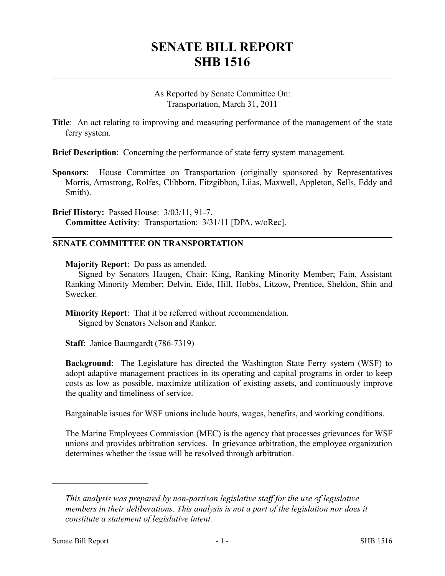## **SENATE BILL REPORT SHB 1516**

As Reported by Senate Committee On: Transportation, March 31, 2011

**Title**: An act relating to improving and measuring performance of the management of the state ferry system.

**Brief Description**: Concerning the performance of state ferry system management.

**Sponsors**: House Committee on Transportation (originally sponsored by Representatives Morris, Armstrong, Rolfes, Clibborn, Fitzgibbon, Liias, Maxwell, Appleton, Sells, Eddy and Smith).

**Brief History:** Passed House: 3/03/11, 91-7. **Committee Activity**: Transportation: 3/31/11 [DPA, w/oRec].

## **SENATE COMMITTEE ON TRANSPORTATION**

**Majority Report**: Do pass as amended.

Signed by Senators Haugen, Chair; King, Ranking Minority Member; Fain, Assistant Ranking Minority Member; Delvin, Eide, Hill, Hobbs, Litzow, Prentice, Sheldon, Shin and Swecker.

**Minority Report**: That it be referred without recommendation. Signed by Senators Nelson and Ranker.

**Staff**: Janice Baumgardt (786-7319)

**Background**: The Legislature has directed the Washington State Ferry system (WSF) to adopt adaptive management practices in its operating and capital programs in order to keep costs as low as possible, maximize utilization of existing assets, and continuously improve the quality and timeliness of service.

Bargainable issues for WSF unions include hours, wages, benefits, and working conditions.

The Marine Employees Commission (MEC) is the agency that processes grievances for WSF unions and provides arbitration services. In grievance arbitration, the employee organization determines whether the issue will be resolved through arbitration.

––––––––––––––––––––––

*This analysis was prepared by non-partisan legislative staff for the use of legislative members in their deliberations. This analysis is not a part of the legislation nor does it constitute a statement of legislative intent.*